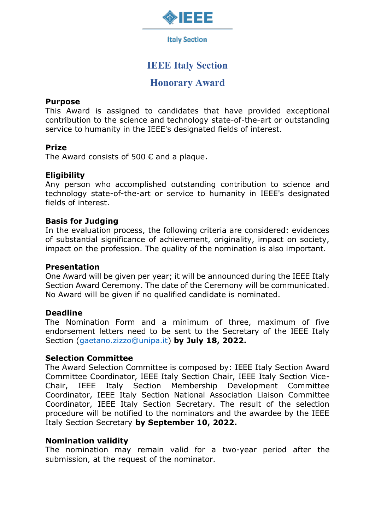

**Italy Section** 

# **IEEE Italy Section**

## **Honorary Award**

#### **Purpose**

This Award is assigned to candidates that have provided exceptional contribution to the science and technology state-of-the-art or outstanding service to humanity in the IEEE's designated fields of interest.

### **Prize**

The Award consists of 500  $\epsilon$  and a plaque.

### **Eligibility**

Any person who accomplished outstanding contribution to science and technology state-of-the-art or service to humanity in IEEE's designated fields of interest.

#### **Basis for Judging**

In the evaluation process, the following criteria are considered: evidences of substantial significance of achievement, originality, impact on society, impact on the profession. The quality of the nomination is also important.

#### **Presentation**

One Award will be given per year; it will be announced during the IEEE Italy Section Award Ceremony. The date of the Ceremony will be communicated. No Award will be given if no qualified candidate is nominated.

#### **Deadline**

The Nomination Form and a minimum of three, maximum of five endorsement letters need to be sent to the Secretary of the IEEE Italy Section [\(gaetano.zizzo@unipa.it\)](mailto:gaetano.zizzo@unipa.it) **by July 18, 2022.**

#### **Selection Committee**

The Award Selection Committee is composed by: IEEE Italy Section Award Committee Coordinator, IEEE Italy Section Chair, IEEE Italy Section Vice-Chair, IEEE Italy Section Membership Development Committee Coordinator, IEEE Italy Section National Association Liaison Committee Coordinator, IEEE Italy Section Secretary. The result of the selection procedure will be notified to the nominators and the awardee by the IEEE Italy Section Secretary **by September 10, 2022.**

## **Nomination validity**

The nomination may remain valid for a two-year period after the submission, at the request of the nominator.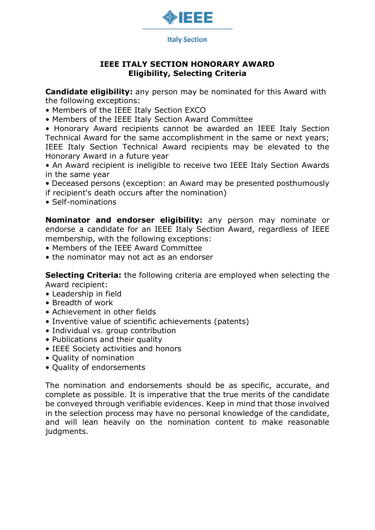

## **IEEE ITALY SECTION HONORARY AWARD Eligibility, Selecting Criteria**

**Candidate eligibility:** any person may be nominated for this Award with the following exceptions:

- Members of the IEEE Italy Section EXCO
- Members of the IEEE Italy Section Award Committee

• Honorary Award recipients cannot be awarded an IEEE Italy Section Technical Award for the same accomplishment in the same or next years; IEEE Italy Section Technical Award recipients may be elevated to the Honorary Award in a future year

• An Award recipient is ineligible to receive two IEEE Italy Section Awards in the same year

- Deceased persons (exception: an Award may be presented posthumously if recipient's death occurs after the nomination)
- Self-nominations

**Nominator and endorser eligibility:** any person may nominate or endorse a candidate for an IEEE Italy Section Award, regardless of IEEE membership, with the following exceptions:

- Members of the IEEE Award Committee
- the nominator may not act as an endorser

**Selecting Criteria:** the following criteria are employed when selecting the Award recipient:

- Leadership in field
- Breadth of work
- Achievement in other fields
- Inventive value of scientific achievements (patents)
- Individual vs. group contribution
- Publications and their quality
- IEEE Society activities and honors
- Quality of nomination
- Quality of endorsements

The nomination and endorsements should be as specific, accurate, and complete as possible. It is imperative that the true merits of the candidate be conveyed through verifiable evidences. Keep in mind that those involved in the selection process may have no personal knowledge of the candidate, and will lean heavily on the nomination content to make reasonable judgments.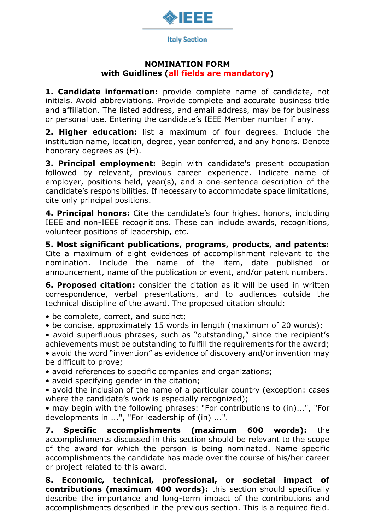

### **NOMINATION FORM with Guidlines (all fields are mandatory)**

**1. Candidate information:** provide complete name of candidate, not initials. Avoid abbreviations. Provide complete and accurate business title and affiliation. The listed address, and email address, may be for business or personal use. Entering the candidate's IEEE Member number if any.

**2. Higher education:** list a maximum of four degrees. Include the institution name, location, degree, year conferred, and any honors. Denote honorary degrees as (H).

**3. Principal employment:** Begin with candidate's present occupation followed by relevant, previous career experience. Indicate name of employer, positions held, year(s), and a one-sentence description of the candidate's responsibilities. If necessary to accommodate space limitations, cite only principal positions.

**4. Principal honors:** Cite the candidate's four highest honors, including IEEE and non-IEEE recognitions. These can include awards, recognitions, volunteer positions of leadership, etc.

**5. Most significant publications, programs, products, and patents:** Cite a maximum of eight evidences of accomplishment relevant to the nomination. Include the name of the item, date published announcement, name of the publication or event, and/or patent numbers.

**6. Proposed citation:** consider the citation as it will be used in written correspondence, verbal presentations, and to audiences outside the technical discipline of the award. The proposed citation should:

• be complete, correct, and succinct;

• be concise, approximately 15 words in length (maximum of 20 words);

• avoid superfluous phrases, such as "outstanding," since the recipient's achievements must be outstanding to fulfill the requirements for the award; • avoid the word "invention" as evidence of discovery and/or invention may be difficult to prove;

• avoid references to specific companies and organizations;

• avoid specifying gender in the citation;

• avoid the inclusion of the name of a particular country (exception: cases where the candidate's work is especially recognized);

• may begin with the following phrases: "For contributions to (in)...", "For developments in ...", "For leadership of (in) ...".

**7. Specific accomplishments (maximum 600 words):** the accomplishments discussed in this section should be relevant to the scope of the award for which the person is being nominated. Name specific accomplishments the candidate has made over the course of his/her career or project related to this award.

**8. Economic, technical, professional, or societal impact of contributions (maximum 400 words):** this section should specifically describe the importance and long-term impact of the contributions and accomplishments described in the previous section. This is a required field.